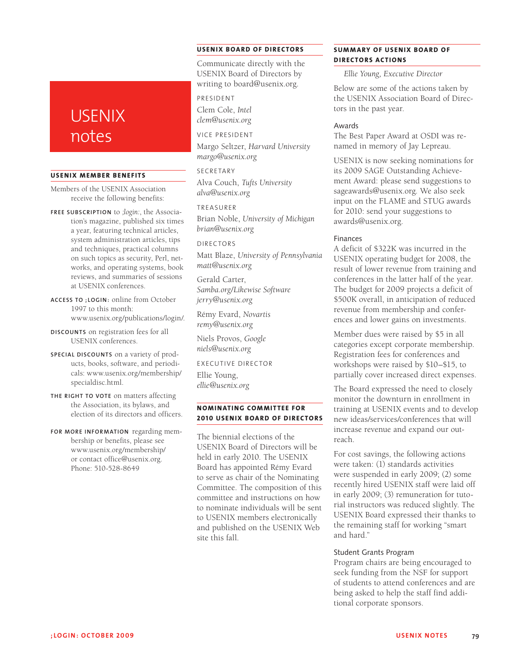# **USENIX** notes

#### **USENIX Member Benefits**

Members of the USENIX Association receive the following benefits:

**Free subscrip tion** to *;login:*, the Association's magazine, published six times a year, featuring technical articles, system administration articles, tips and techniques, practical columns on such topics as security, Perl, networks, and operating systems, book reviews, and summaries of sessions at USENIX conferences.

**Access to ;login :** online from October 1997 to this month: www.usenix.org/publications/login/.

- **Discounts** on registration fees for all USENIX conferences.
- **Special discounts** on a variety of products, books, software, and periodicals: www.usenix.org/membership/ specialdisc.html.
- **The right to vote** on matters affecting the Association, its bylaws, and election of its directors and officers.
- **For more information** regarding membership or benefits, please see www.usenix.org/membership/ or contact office@usenix.org. Phone: 510-528-8649

## **USENIX BOARD OF DIRECTORS**

Communicate directly with the USENIX Board of Directors by writing to board@usenix.org.

President Clem Cole, *Intel clem@usenix.org*

#### Vice President

Margo Seltzer, *Harvard University margo@usenix.org*

#### **SECRETARY**

Alva Couch, *Tufts University alva@usenix.org*

# Treasurer

Brian Noble, *University of Michigan brian@usenix.org*

#### Directors

Matt Blaze, *University of Pennsylvania matt@usenix.org*

Gerald Carter, *Samba.org/Likewise Software jerry@usenix.org*

Rémy Evard, *Novartis remy@usenix.org*

Niels Provos, *Google niels@usenix.org*

Executive Director

Ellie Young, *ellie@usenix.org*

## **NOminating Committee for 2010 USENIX BOARD OF DIRECTORS**

The biennial elections of the USENIX Board of Directors will be held in early 2010. The USENIX Board has appointed Rémy Evard to serve as chair of the Nominating Committee. The composition of this committee and instructions on how to nominate individuals will be sent to USENIX members electronically and published on the USENIX Web site this fall.

# **SUMMARY OF USENIX BOARD OF Directors Action s**

*Ellie Young, Executive Director*

Below are some of the actions taken by the USENIX Association Board of Directors in the past year.

#### Awards

The Best Paper Award at OSDI was renamed in memory of Jay Lepreau.

USENIX is now seeking nominations for its 2009 SAGE Outstanding Achievement Award: please send suggestions to sageawards@usenix.org. We also seek input on the FLAME and STUG awards for 2010: send your suggestions to awards@usenix.org.

## Finances

A deficit of \$322K was incurred in the USENIX operating budget for 2008, the result of lower revenue from training and conferences in the latter half of the year. The budget for 2009 projects a deficit of \$500K overall, in anticipation of reduced revenue from membership and conferences and lower gains on investments.

Member dues were raised by \$5 in all categories except corporate membership. Registration fees for conferences and workshops were raised by \$10–\$15, to partially cover increased direct expenses.

The Board expressed the need to closely monitor the downturn in enrollment in training at USENIX events and to develop new ideas/services/conferences that will increase revenue and expand our outreach.

For cost savings, the following actions were taken: (1) standards activities were suspended in early 2009; (2) some recently hired USENIX staff were laid off in early 2009; (3) remuneration for tutorial instructors was reduced slightly. The USENIX Board expressed their thanks to the remaining staff for working "smart and hard."

#### Student Grants Program

Program chairs are being encouraged to seek funding from the NSF for support of students to attend conferences and are being asked to help the staff find additional corporate sponsors.